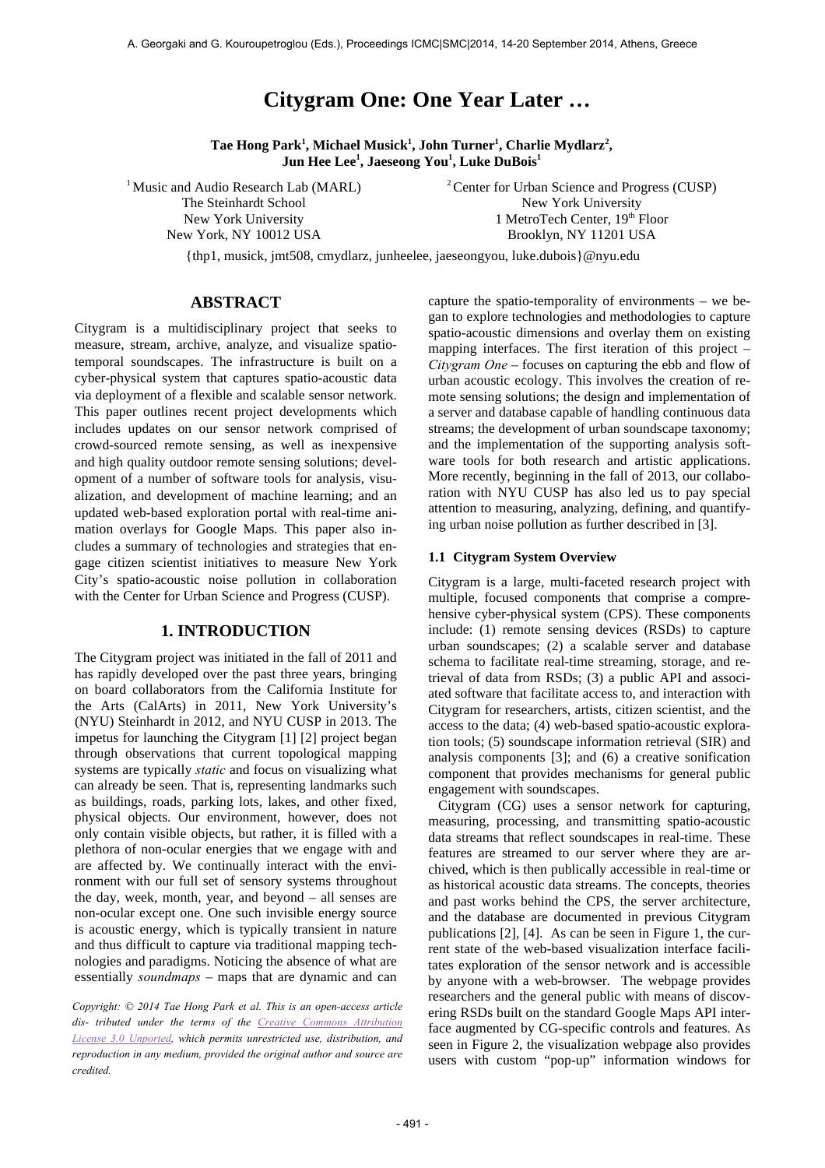# **Citygram One: One Year Later …**

**Tae Hong Park<sup>1</sup> , Michael Musick<sup>1</sup> , John Turner<sup>1</sup> , Charlie Mydlarz<sup>2</sup> , Jun Hee Lee<sup>1</sup> , Jaeseong You<sup>1</sup> , Luke DuBois<sup>1</sup>**

<sup>1</sup> Music and Audio Research Lab (MARL) The Steinhardt School New York University New York, NY 10012 USA

2 Center for Urban Science and Progress (CUSP) New York University 1 MetroTech Center, 19th Floor Brooklyn, NY 11201 USA

{thp1, musick, jmt508, cmydlarz, junheelee, jaeseongyou, luke.dubois}@nyu.edu

# **ABSTRACT**

Citygram is a multidisciplinary project that seeks to measure, stream, archive, analyze, and visualize spatiotemporal soundscapes. The infrastructure is built on a cyber-physical system that captures spatio-acoustic data via deployment of a flexible and scalable sensor network. This paper outlines recent project developments which includes updates on our sensor network comprised of crowd-sourced remote sensing, as well as inexpensive and high quality outdoor remote sensing solutions; development of a number of software tools for analysis, visualization, and development of machine learning; and an updated web-based exploration portal with real-time animation overlays for Google Maps. This paper also includes a summary of technologies and strategies that engage citizen scientist initiatives to measure New York City's spatio-acoustic noise pollution in collaboration with the Center for Urban Science and Progress (CUSP).

# **1. INTRODUCTION**

The Citygram project was initiated in the fall of 2011 and has rapidly developed over the past three years, bringing on board collaborators from the California Institute for the Arts (CalArts) in 2011, New York University's (NYU) Steinhardt in 2012, and NYU CUSP in 2013. The impetus for launching the Citygram [1] [2] project began through observations that current topological mapping systems are typically *static* and focus on visualizing what can already be seen. That is, representing landmarks such as buildings, roads, parking lots, lakes, and other fixed, physical objects. Our environment, however, does not only contain visible objects, but rather, it is filled with a plethora of non-ocular energies that we engage with and are affected by. We continually interact with the environment with our full set of sensory systems throughout the day, week, month, year, and beyond – all senses are non-ocular except one. One such invisible energy source is acoustic energy, which is typically transient in nature and thus difficult to capture via traditional mapping technologies and paradigms. Noticing the absence of what are essentially *soundmaps* – maps that are dynamic and can

*Copyright: © 2014 Tae Hong Park et al. This is an open-access article dis- tributed under the terms of the Creative Commons Attribution License 3.0 Unported, which permits unrestricted use, distribution, and reproduction in any medium, provided the original author and source are credited.*

capture the spatio-temporality of environments – we began to explore technologies and methodologies to capture spatio-acoustic dimensions and overlay them on existing mapping interfaces. The first iteration of this project – *Citygram One* – focuses on capturing the ebb and flow of urban acoustic ecology. This involves the creation of remote sensing solutions; the design and implementation of a server and database capable of handling continuous data streams; the development of urban soundscape taxonomy; and the implementation of the supporting analysis software tools for both research and artistic applications. More recently, beginning in the fall of 2013, our collaboration with NYU CUSP has also led us to pay special attention to measuring, analyzing, defining, and quantifying urban noise pollution as further described in [3].

### **1.1 Citygram System Overview**

Citygram is a large, multi-faceted research project with multiple, focused components that comprise a comprehensive cyber-physical system (CPS). These components include: (1) remote sensing devices (RSDs) to capture urban soundscapes; (2) a scalable server and database schema to facilitate real-time streaming, storage, and retrieval of data from RSDs; (3) a public API and associated software that facilitate access to, and interaction with Citygram for researchers, artists, citizen scientist, and the access to the data; (4) web-based spatio-acoustic exploration tools; (5) soundscape information retrieval (SIR) and analysis components [3]; and (6) a creative sonification component that provides mechanisms for general public engagement with soundscapes.

Citygram (CG) uses a sensor network for capturing, measuring, processing, and transmitting spatio-acoustic data streams that reflect soundscapes in real-time. These features are streamed to our server where they are archived, which is then publically accessible in real-time or as historical acoustic data streams. The concepts, theories and past works behind the CPS, the server architecture, and the database are documented in previous Citygram publications [2], [4]. As can be seen in Figure 1, the current state of the web-based visualization interface facilitates exploration of the sensor network and is accessible by anyone with a web-browser. The webpage provides researchers and the general public with means of discovering RSDs built on the standard Google Maps API interface augmented by CG-specific controls and features. As seen in Figure 2, the visualization webpage also provides users with custom "pop-up" information windows for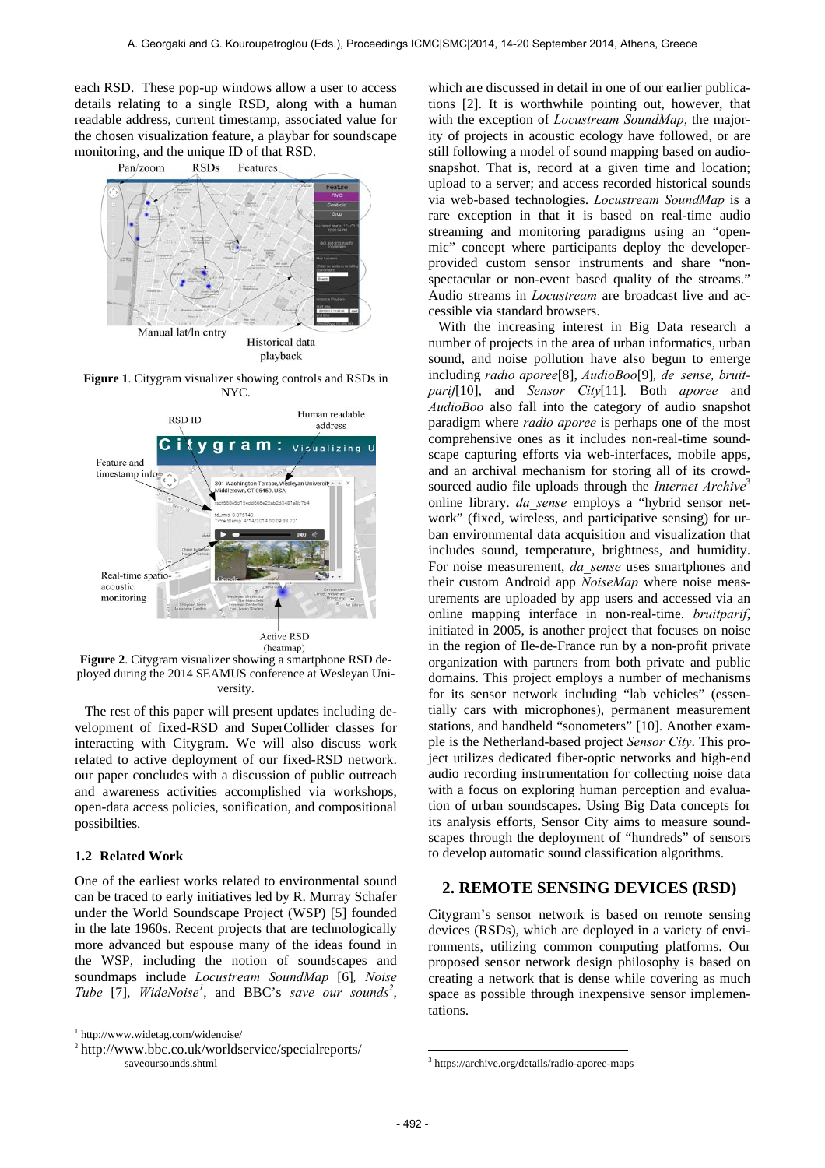each RSD. These pop-up windows allow a user to access details relating to a single RSD, along with a human readable address, current timestamp, associated value for the chosen visualization feature, a playbar for soundscape monitoring, and the unique ID of that RSD.



**Figure 1**. Citygram visualizer showing controls and RSDs in NYC.



**Figure 2**. Citygram visualizer showing a smartphone RSD deployed during the 2014 SEAMUS conference at Wesleyan University.

The rest of this paper will present updates including development of fixed-RSD and SuperCollider classes for interacting with Citygram. We will also discuss work related to active deployment of our fixed-RSD network. our paper concludes with a discussion of public outreach and awareness activities accomplished via workshops, open-data access policies, sonification, and compositional possibilties.

# **1.2 Related Work**

One of the earliest works related to environmental sound can be traced to early initiatives led by R. Murray Schafer under the World Soundscape Project (WSP) [5] founded in the late 1960s. Recent projects that are technologically more advanced but espouse many of the ideas found in the WSP, including the notion of soundscapes and soundmaps include *Locustream SoundMap* [6]*, Noise*  Tube [7], *WideNoise<sup>1</sup>*, and BBC's *save our sounds<sup>2</sup>*,

l

which are discussed in detail in one of our earlier publications [2]. It is worthwhile pointing out, however, that with the exception of *Locustream SoundMap*, the majority of projects in acoustic ecology have followed, or are still following a model of sound mapping based on audiosnapshot. That is, record at a given time and location; upload to a server; and access recorded historical sounds via web-based technologies. *Locustream SoundMap* is a rare exception in that it is based on real-time audio streaming and monitoring paradigms using an "openmic" concept where participants deploy the developerprovided custom sensor instruments and share "nonspectacular or non-event based quality of the streams." Audio streams in *Locustream* are broadcast live and accessible via standard browsers.

With the increasing interest in Big Data research a number of projects in the area of urban informatics, urban sound, and noise pollution have also begun to emerge including *radio aporee*[8], *AudioBoo*[9]*, de\_sense, bruitparif*[10], and *Sensor City*[11]*.* Both *aporee* and *AudioBoo* also fall into the category of audio snapshot paradigm where *radio aporee* is perhaps one of the most comprehensive ones as it includes non-real-time soundscape capturing efforts via web-interfaces, mobile apps, and an archival mechanism for storing all of its crowdsourced audio file uploads through the *Internet Archive*<sup>3</sup> online library. *da\_sense* employs a "hybrid sensor network" (fixed, wireless, and participative sensing) for urban environmental data acquisition and visualization that includes sound, temperature, brightness, and humidity. For noise measurement, *da\_sense* uses smartphones and their custom Android app *NoiseMap* where noise measurements are uploaded by app users and accessed via an online mapping interface in non-real-time. *bruitparif*, initiated in 2005, is another project that focuses on noise in the region of Ile-de-France run by a non-profit private organization with partners from both private and public domains. This project employs a number of mechanisms for its sensor network including "lab vehicles" (essentially cars with microphones), permanent measurement stations, and handheld "sonometers" [10]. Another example is the Netherland-based project *Sensor City*. This project utilizes dedicated fiber-optic networks and high-end audio recording instrumentation for collecting noise data with a focus on exploring human perception and evaluation of urban soundscapes. Using Big Data concepts for its analysis efforts, Sensor City aims to measure soundscapes through the deployment of "hundreds" of sensors to develop automatic sound classification algorithms.

# **2. REMOTE SENSING DEVICES (RSD)**

Citygram's sensor network is based on remote sensing devices (RSDs), which are deployed in a variety of environments, utilizing common computing platforms. Our proposed sensor network design philosophy is based on creating a network that is dense while covering as much space as possible through inexpensive sensor implementations.

 $\overline{\phantom{a}}$ 

<sup>1</sup> http://www.widetag.com/widenoise/

<sup>2</sup> http://www.bbc.co.uk/worldservice/specialreports/ saveoursounds.shtml

<sup>3</sup> https://archive.org/details/radio-aporee-maps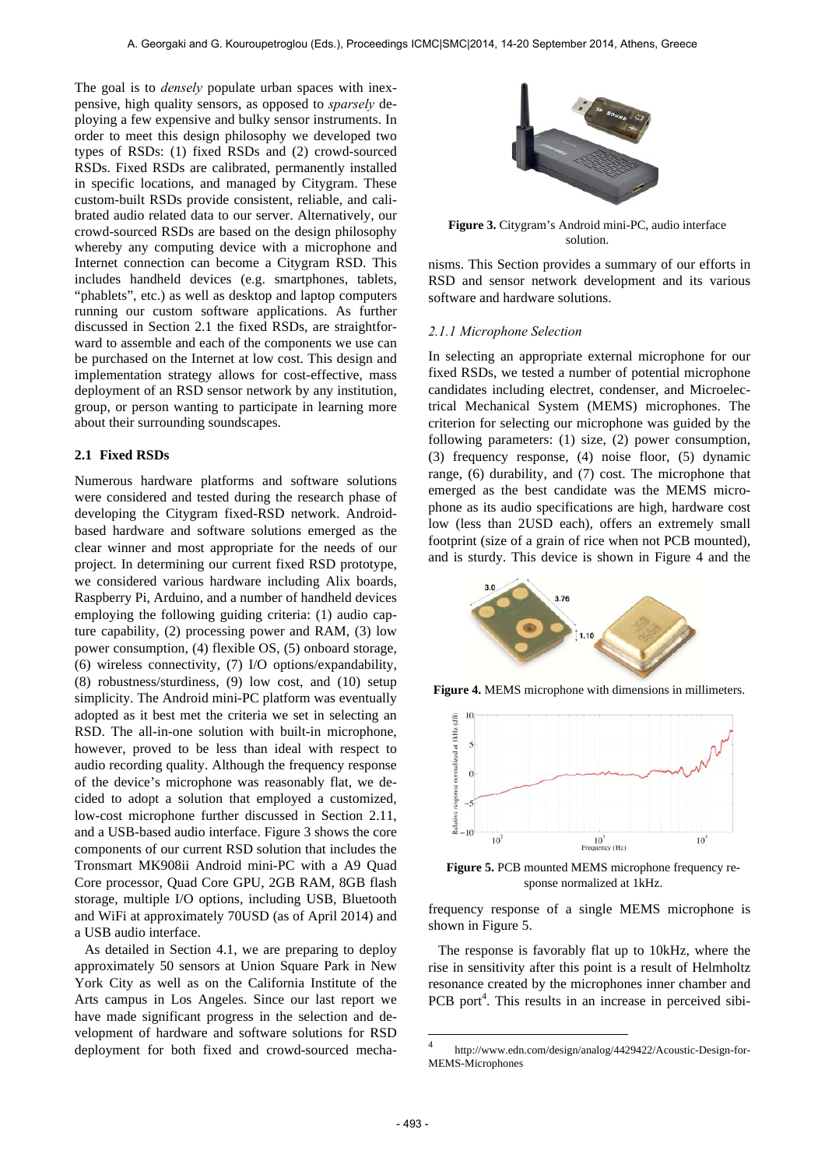The goal is to *densely* populate urban spaces with inexpensive, high quality sensors, as opposed to *sparsely* deploying a few expensive and bulky sensor instruments. In order to meet this design philosophy we developed two types of RSDs: (1) fixed RSDs and (2) crowd-sourced RSDs. Fixed RSDs are calibrated, permanently installed in specific locations, and managed by Citygram. These custom-built RSDs provide consistent, reliable, and calibrated audio related data to our server. Alternatively, our crowd-sourced RSDs are based on the design philosophy whereby any computing device with a microphone and Internet connection can become a Citygram RSD. This includes handheld devices (e.g. smartphones, tablets, "phablets", etc.) as well as desktop and laptop computers running our custom software applications. As further discussed in Section 2.1 the fixed RSDs, are straightforward to assemble and each of the components we use can be purchased on the Internet at low cost. This design and implementation strategy allows for cost-effective, mass deployment of an RSD sensor network by any institution, group, or person wanting to participate in learning more about their surrounding soundscapes.

#### **2.1 Fixed RSDs**

Numerous hardware platforms and software solutions were considered and tested during the research phase of developing the Citygram fixed-RSD network. Androidbased hardware and software solutions emerged as the clear winner and most appropriate for the needs of our project. In determining our current fixed RSD prototype, we considered various hardware including Alix boards, Raspberry Pi, Arduino, and a number of handheld devices employing the following guiding criteria: (1) audio capture capability, (2) processing power and RAM, (3) low power consumption, (4) flexible OS, (5) onboard storage, (6) wireless connectivity, (7) I/O options/expandability, (8) robustness/sturdiness, (9) low cost, and (10) setup simplicity. The Android mini-PC platform was eventually adopted as it best met the criteria we set in selecting an RSD. The all-in-one solution with built-in microphone, however, proved to be less than ideal with respect to audio recording quality. Although the frequency response of the device's microphone was reasonably flat, we decided to adopt a solution that employed a customized, low-cost microphone further discussed in Section 2.11, and a USB-based audio interface. Figure 3 shows the core components of our current RSD solution that includes the Tronsmart MK908ii Android mini-PC with a A9 Quad Core processor, Quad Core GPU, 2GB RAM, 8GB flash storage, multiple I/O options, including USB, Bluetooth and WiFi at approximately 70USD (as of April 2014) and a USB audio interface.

As detailed in Section 4.1, we are preparing to deploy approximately 50 sensors at Union Square Park in New York City as well as on the California Institute of the Arts campus in Los Angeles. Since our last report we have made significant progress in the selection and development of hardware and software solutions for RSD deployment for both fixed and crowd-sourced mecha-



**Figure 3.** Citygram's Android mini-PC, audio interface solution.

nisms. This Section provides a summary of our efforts in RSD and sensor network development and its various software and hardware solutions.

### *2.1.1 Microphone Selection*

In selecting an appropriate external microphone for our fixed RSDs, we tested a number of potential microphone candidates including electret, condenser, and Microelectrical Mechanical System (MEMS) microphones. The criterion for selecting our microphone was guided by the following parameters: (1) size, (2) power consumption, (3) frequency response, (4) noise floor, (5) dynamic range, (6) durability, and (7) cost. The microphone that emerged as the best candidate was the MEMS microphone as its audio specifications are high, hardware cost low (less than 2USD each), offers an extremely small footprint (size of a grain of rice when not PCB mounted), and is sturdy. This device is shown in Figure 4 and the



**Figure 4.** MEMS microphone with dimensions in millimeters.



**Figure 5.** PCB mounted MEMS microphone frequency response normalized at 1kHz.

frequency response of a single MEMS microphone is shown in Figure 5.

The response is favorably flat up to 10kHz, where the rise in sensitivity after this point is a result of Helmholtz resonance created by the microphones inner chamber and PCB port<sup>4</sup>. This results in an increase in perceived sibi-

 $\overline{4}$ <sup>4</sup> http://www.edn.com/design/analog/4429422/Acoustic-Design-for-MEMS-Microphones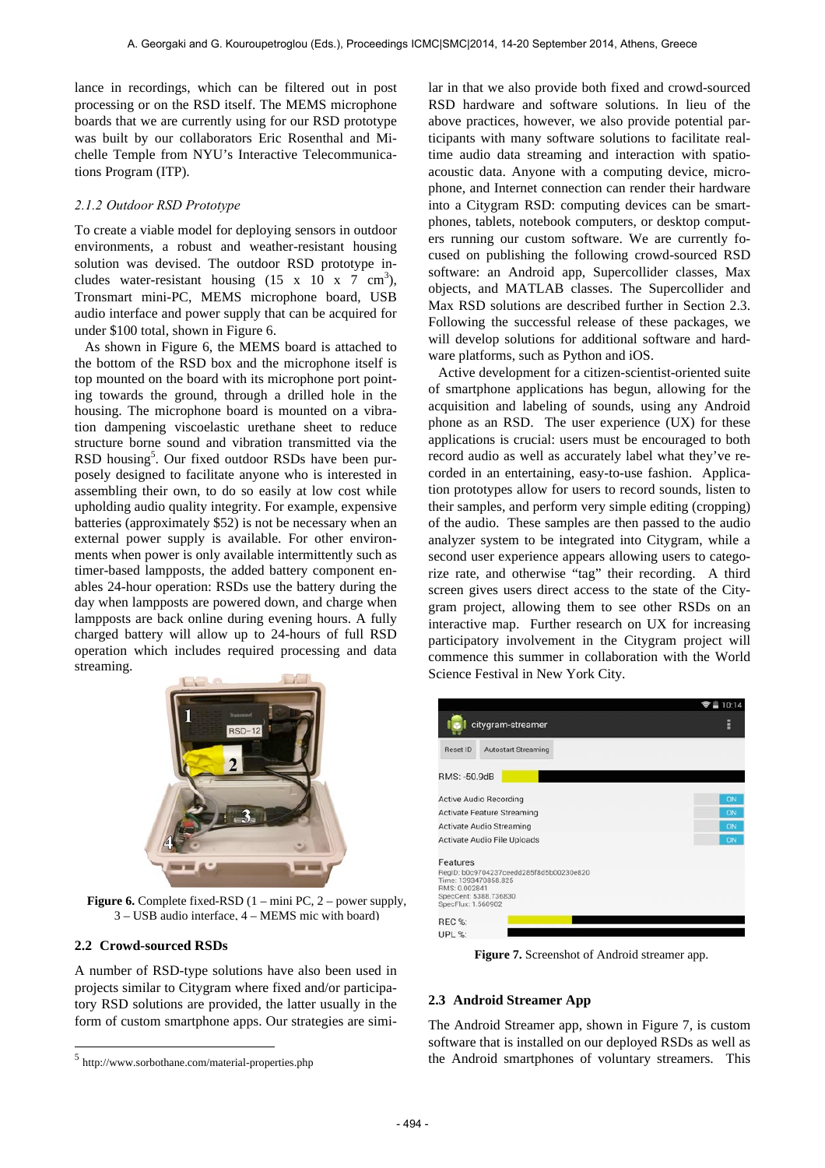lance in recordings, which can be filtered out in post processing or on the RSD itself. The MEMS microphone boards that we are currently using for our RSD prototype was built by our collaborators Eric Rosenthal and Michelle Temple from NYU's Interactive Telecommunications Program (ITP).

## *2.1.2 Outdoor RSD Prototype*

To create a viable model for deploying sensors in outdoor environments, a robust and weather-resistant housing solution was devised. The outdoor RSD prototype includes water-resistant housing  $(15 \times 10 \times 7 \text{ cm}^3)$ , Tronsmart mini-PC, MEMS microphone board, USB audio interface and power supply that can be acquired for under \$100 total, shown in Figure 6.

As shown in Figure 6, the MEMS board is attached to the bottom of the RSD box and the microphone itself is top mounted on the board with its microphone port pointing towards the ground, through a drilled hole in the housing. The microphone board is mounted on a vibration dampening viscoelastic urethane sheet to reduce structure borne sound and vibration transmitted via the RSD housing<sup>5</sup>. Our fixed outdoor RSDs have been purposely designed to facilitate anyone who is interested in assembling their own, to do so easily at low cost while upholding audio quality integrity. For example, expensive batteries (approximately \$52) is not be necessary when an external power supply is available. For other environments when power is only available intermittently such as timer-based lampposts, the added battery component enables 24-hour operation: RSDs use the battery during the day when lampposts are powered down, and charge when lampposts are back online during evening hours. A fully charged battery will allow up to 24-hours of full RSD operation which includes required processing and data streaming.



**Figure 6.** Complete fixed-RSD  $(1 - \text{mini PC}, 2 - \text{power supply},$ 3 – USB audio interface, 4 – MEMS mic with board)

# **2.2 Crowd-sourced RSDs**

l

A number of RSD-type solutions have also been used in projects similar to Citygram where fixed and/or participatory RSD solutions are provided, the latter usually in the form of custom smartphone apps. Our strategies are similar in that we also provide both fixed and crowd-sourced RSD hardware and software solutions. In lieu of the above practices, however, we also provide potential participants with many software solutions to facilitate realtime audio data streaming and interaction with spatioacoustic data. Anyone with a computing device, microphone, and Internet connection can render their hardware into a Citygram RSD: computing devices can be smartphones, tablets, notebook computers, or desktop computers running our custom software. We are currently focused on publishing the following crowd-sourced RSD software: an Android app, Supercollider classes, Max objects, and MATLAB classes. The Supercollider and Max RSD solutions are described further in Section 2.3. Following the successful release of these packages, we will develop solutions for additional software and hardware platforms, such as Python and iOS.

Active development for a citizen-scientist-oriented suite of smartphone applications has begun, allowing for the acquisition and labeling of sounds, using any Android phone as an RSD. The user experience (UX) for these applications is crucial: users must be encouraged to both record audio as well as accurately label what they've recorded in an entertaining, easy-to-use fashion. Application prototypes allow for users to record sounds, listen to their samples, and perform very simple editing (cropping) of the audio. These samples are then passed to the audio analyzer system to be integrated into Citygram, while a second user experience appears allowing users to categorize rate, and otherwise "tag" their recording. A third screen gives users direct access to the state of the Citygram project, allowing them to see other RSDs on an interactive map. Further research on UX for increasing participatory involvement in the Citygram project will commence this summer in collaboration with the World Science Festival in New York City.

|                                                 |                                                                                          | 10:14 |
|-------------------------------------------------|------------------------------------------------------------------------------------------|-------|
|                                                 | citygram-streamer                                                                        | E     |
| <b>Reset ID</b>                                 | <b>Autostart Streaming</b>                                                               |       |
| RMS: -50.9dB                                    |                                                                                          |       |
| <b>Active Audio Recording</b>                   |                                                                                          | ON    |
| <b>Activate Feature Streaming</b>               |                                                                                          | ON    |
| Activate Audio Streaming                        |                                                                                          | ON    |
| Activate Audio File Uploads                     |                                                                                          | ON    |
| Features<br>RMS: 0.002841<br>SpecFlux: 1.560902 | RegID: b0c9704237ceedd285f8d5b00230e820<br>Time: 1393470858.825<br>SpecCent: 5388.736830 |       |
| REC %:                                          |                                                                                          |       |
| UPL %:                                          |                                                                                          |       |

**Figure 7.** Screenshot of Android streamer app.

### **2.3 Android Streamer App**

The Android Streamer app, shown in Figure 7, is custom software that is installed on our deployed RSDs as well as the Android smartphones of voluntary streamers. This

<sup>5</sup> http://www.sorbothane.com/material-properties.php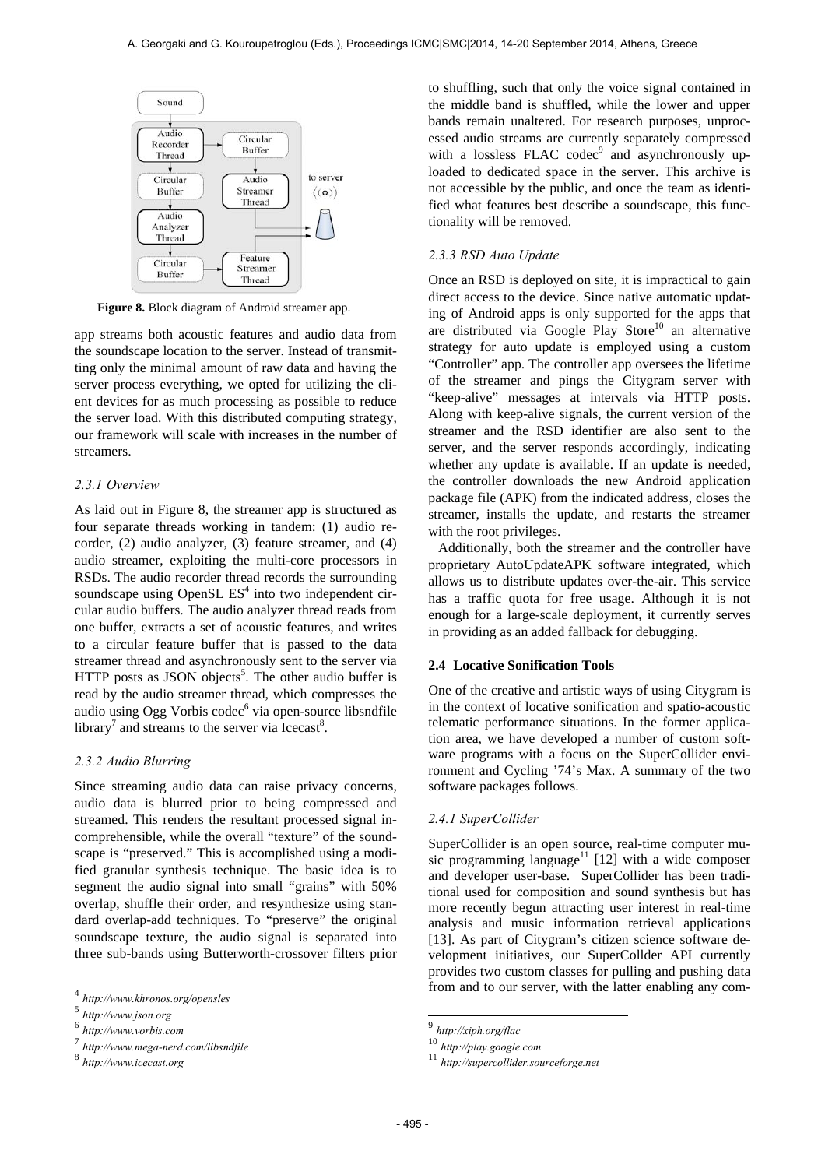

**Figure 8.** Block diagram of Android streamer app.

app streams both acoustic features and audio data from the soundscape location to the server. Instead of transmitting only the minimal amount of raw data and having the server process everything, we opted for utilizing the client devices for as much processing as possible to reduce the server load. With this distributed computing strategy, our framework will scale with increases in the number of streamers.

#### *2.3.1 Overview*

As laid out in Figure 8, the streamer app is structured as four separate threads working in tandem: (1) audio recorder, (2) audio analyzer, (3) feature streamer, and (4) audio streamer, exploiting the multi-core processors in RSDs. The audio recorder thread records the surrounding soundscape using OpenSL  $ES<sup>4</sup>$  into two independent circular audio buffers. The audio analyzer thread reads from one buffer, extracts a set of acoustic features, and writes to a circular feature buffer that is passed to the data streamer thread and asynchronously sent to the server via HTTP posts as JSON objects<sup>5</sup>. The other audio buffer is read by the audio streamer thread, which compresses the audio using Ogg Vorbis codec<sup>6</sup> via open-source libsndfile library<sup>7</sup> and streams to the server via Icecast<sup>8</sup>.

## *2.3.2 Audio Blurring*

Since streaming audio data can raise privacy concerns, audio data is blurred prior to being compressed and streamed. This renders the resultant processed signal incomprehensible, while the overall "texture" of the soundscape is "preserved." This is accomplished using a modified granular synthesis technique. The basic idea is to segment the audio signal into small "grains" with 50% overlap, shuffle their order, and resynthesize using standard overlap-add techniques. To "preserve" the original soundscape texture, the audio signal is separated into three sub-bands using Butterworth-crossover filters prior

l

to shuffling, such that only the voice signal contained in the middle band is shuffled, while the lower and upper bands remain unaltered. For research purposes, unprocessed audio streams are currently separately compressed with a lossless FLAC codec<sup>9</sup> and asynchronously uploaded to dedicated space in the server. This archive is not accessible by the public, and once the team as identified what features best describe a soundscape, this functionality will be removed.

# *2.3.3 RSD Auto Update*

Once an RSD is deployed on site, it is impractical to gain direct access to the device. Since native automatic updating of Android apps is only supported for the apps that are distributed via Google Play Store<sup>10</sup> an alternative strategy for auto update is employed using a custom "Controller" app. The controller app oversees the lifetime of the streamer and pings the Citygram server with "keep-alive" messages at intervals via HTTP posts. Along with keep-alive signals, the current version of the streamer and the RSD identifier are also sent to the server, and the server responds accordingly, indicating whether any update is available. If an update is needed, the controller downloads the new Android application package file (APK) from the indicated address, closes the streamer, installs the update, and restarts the streamer with the root privileges.

Additionally, both the streamer and the controller have proprietary AutoUpdateAPK software integrated, which allows us to distribute updates over-the-air. This service has a traffic quota for free usage. Although it is not enough for a large-scale deployment, it currently serves in providing as an added fallback for debugging.

#### **2.4 Locative Sonification Tools**

One of the creative and artistic ways of using Citygram is in the context of locative sonification and spatio-acoustic telematic performance situations. In the former application area, we have developed a number of custom software programs with a focus on the SuperCollider environment and Cycling '74's Max. A summary of the two software packages follows.

#### *2.4.1 SuperCollider*

SuperCollider is an open source, real-time computer music programming language<sup>11</sup> [12] with a wide composer and developer user-base. SuperCollider has been traditional used for composition and sound synthesis but has more recently begun attracting user interest in real-time analysis and music information retrieval applications [13]. As part of Citygram's citizen science software development initiatives, our SuperCollder API currently provides two custom classes for pulling and pushing data from and to our server, with the latter enabling any com-

1

<sup>4</sup> *http://www.khronos.org/opensles*

<sup>5</sup> *http://www.json.org* <sup>6</sup> *http://www.vorbis.com*

<sup>7</sup> *http://www.mega-nerd.com/libsndfile* <sup>8</sup> *http://www.icecast.org*

<sup>9</sup> *http://xiph.org/flac*

<sup>10</sup> *http://play.google.com* <sup>11</sup> *http://supercollider.sourceforge.net*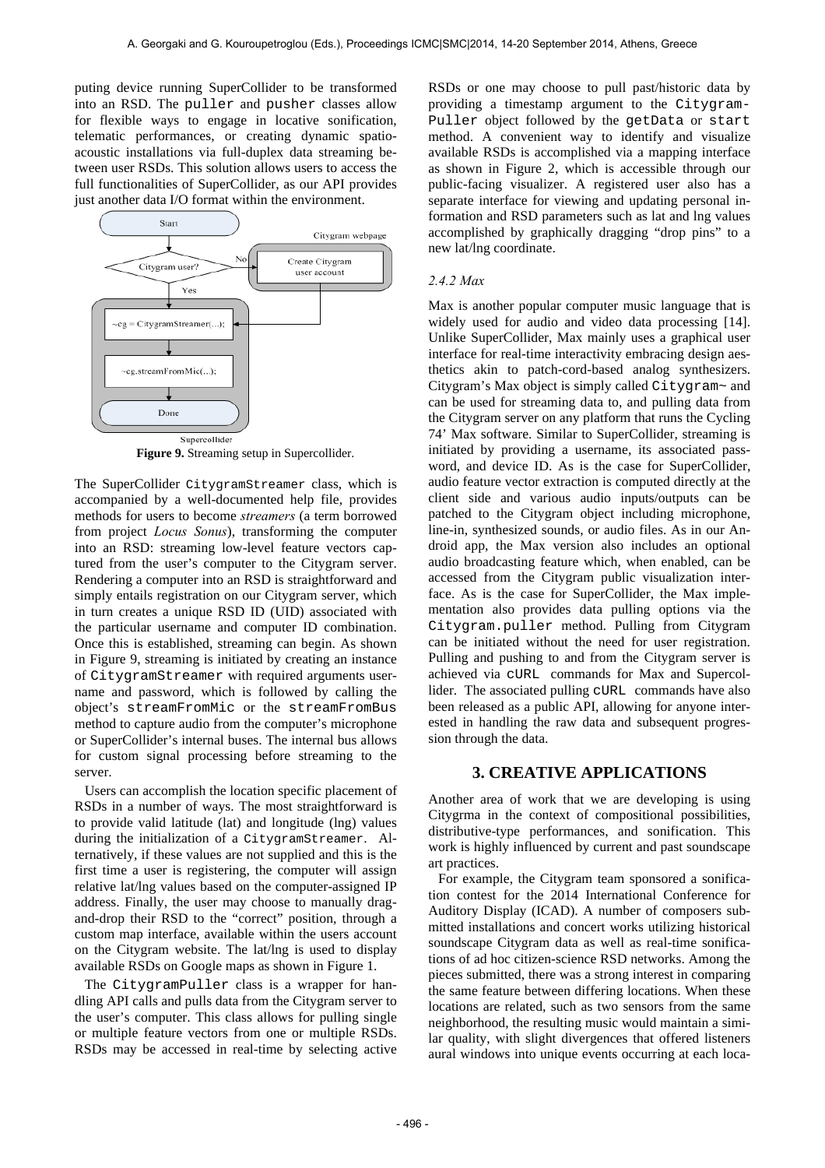puting device running SuperCollider to be transformed into an RSD. The puller and pusher classes allow for flexible ways to engage in locative sonification, telematic performances, or creating dynamic spatioacoustic installations via full-duplex data streaming between user RSDs. This solution allows users to access the full functionalities of SuperCollider, as our API provides just another data I/O format within the environment.



**Figure 9.** Streaming setup in Supercollider.

The SuperCollider CitygramStreamer class, which is accompanied by a well-documented help file, provides methods for users to become *streamers* (a term borrowed from project *Locus Sonus*), transforming the computer into an RSD: streaming low-level feature vectors captured from the user's computer to the Citygram server. Rendering a computer into an RSD is straightforward and simply entails registration on our Citygram server, which in turn creates a unique RSD ID (UID) associated with the particular username and computer ID combination. Once this is established, streaming can begin. As shown in Figure 9, streaming is initiated by creating an instance of CitygramStreamer with required arguments username and password, which is followed by calling the object's streamFromMic or the streamFromBus method to capture audio from the computer's microphone or SuperCollider's internal buses. The internal bus allows for custom signal processing before streaming to the server.

Users can accomplish the location specific placement of RSDs in a number of ways. The most straightforward is to provide valid latitude (lat) and longitude (lng) values during the initialization of a CitygramStreamer. Alternatively, if these values are not supplied and this is the first time a user is registering, the computer will assign relative lat/lng values based on the computer-assigned IP address. Finally, the user may choose to manually dragand-drop their RSD to the "correct" position, through a custom map interface, available within the users account on the Citygram website. The lat/lng is used to display available RSDs on Google maps as shown in Figure 1.

The CitygramPuller class is a wrapper for handling API calls and pulls data from the Citygram server to the user's computer. This class allows for pulling single or multiple feature vectors from one or multiple RSDs. RSDs may be accessed in real-time by selecting active RSDs or one may choose to pull past/historic data by providing a timestamp argument to the Citygram-Puller object followed by the getData or start method. A convenient way to identify and visualize available RSDs is accomplished via a mapping interface as shown in Figure 2, which is accessible through our public-facing visualizer. A registered user also has a separate interface for viewing and updating personal information and RSD parameters such as lat and lng values accomplished by graphically dragging "drop pins" to a new lat/lng coordinate.

### *2.4.2 Max*

Max is another popular computer music language that is widely used for audio and video data processing [14]. Unlike SuperCollider, Max mainly uses a graphical user interface for real-time interactivity embracing design aesthetics akin to patch-cord-based analog synthesizers. Citygram's Max object is simply called Citygram~ and can be used for streaming data to, and pulling data from the Citygram server on any platform that runs the Cycling 74' Max software. Similar to SuperCollider, streaming is initiated by providing a username, its associated password, and device ID. As is the case for SuperCollider, audio feature vector extraction is computed directly at the client side and various audio inputs/outputs can be patched to the Citygram object including microphone, line-in, synthesized sounds, or audio files. As in our Android app, the Max version also includes an optional audio broadcasting feature which, when enabled, can be accessed from the Citygram public visualization interface. As is the case for SuperCollider, the Max implementation also provides data pulling options via the Citygram.puller method. Pulling from Citygram can be initiated without the need for user registration. Pulling and pushing to and from the Citygram server is achieved via cURL commands for Max and Supercollider. The associated pulling cURL commands have also been released as a public API, allowing for anyone interested in handling the raw data and subsequent progression through the data.

# **3. CREATIVE APPLICATIONS**

Another area of work that we are developing is using Citygrma in the context of compositional possibilities, distributive-type performances, and sonification. This work is highly influenced by current and past soundscape art practices.

For example, the Citygram team sponsored a sonification contest for the 2014 International Conference for Auditory Display (ICAD). A number of composers submitted installations and concert works utilizing historical soundscape Citygram data as well as real-time sonifications of ad hoc citizen-science RSD networks. Among the pieces submitted, there was a strong interest in comparing the same feature between differing locations. When these locations are related, such as two sensors from the same neighborhood, the resulting music would maintain a similar quality, with slight divergences that offered listeners aural windows into unique events occurring at each loca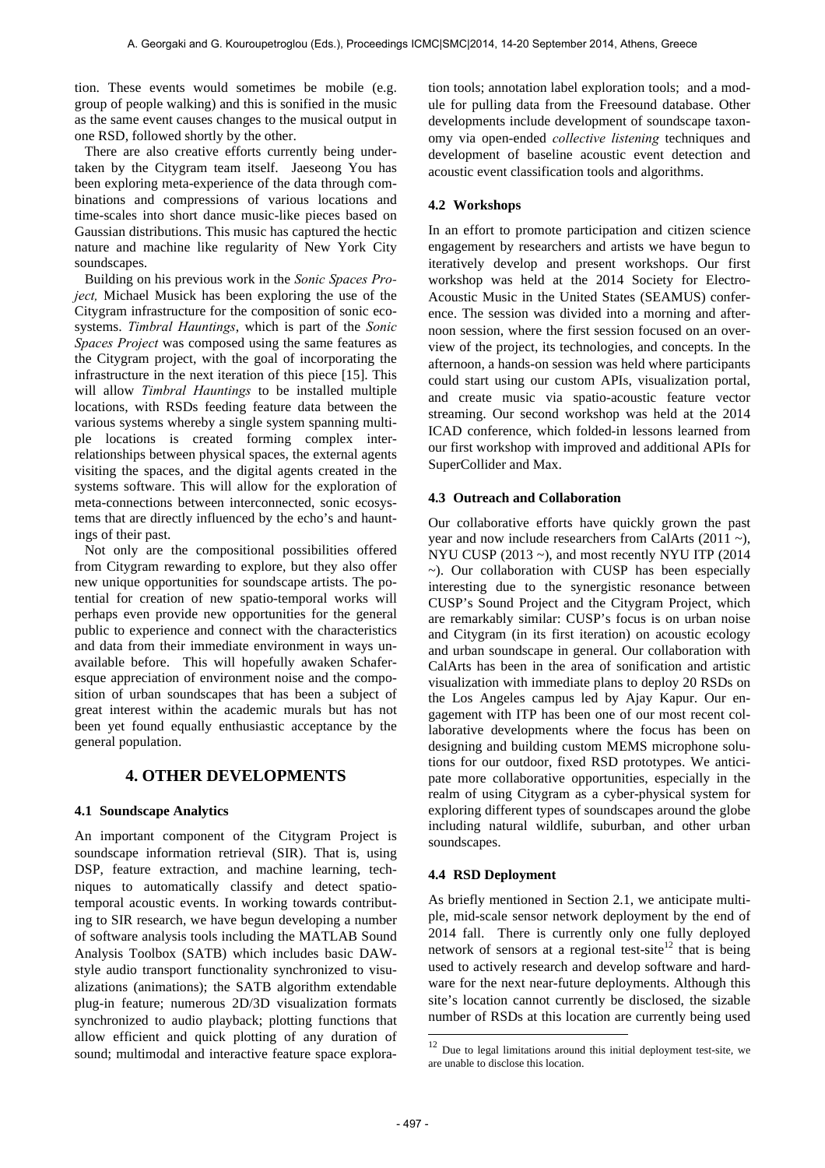tion. These events would sometimes be mobile (e.g. group of people walking) and this is sonified in the music as the same event causes changes to the musical output in one RSD, followed shortly by the other.

There are also creative efforts currently being undertaken by the Citygram team itself. Jaeseong You has been exploring meta-experience of the data through combinations and compressions of various locations and time-scales into short dance music-like pieces based on Gaussian distributions. This music has captured the hectic nature and machine like regularity of New York City soundscapes.

Building on his previous work in the *Sonic Spaces Project,* Michael Musick has been exploring the use of the Citygram infrastructure for the composition of sonic ecosystems. *Timbral Hauntings*, which is part of the *Sonic Spaces Project* was composed using the same features as the Citygram project, with the goal of incorporating the infrastructure in the next iteration of this piece [15]. This will allow *Timbral Hauntings* to be installed multiple locations, with RSDs feeding feature data between the various systems whereby a single system spanning multiple locations is created forming complex interrelationships between physical spaces, the external agents visiting the spaces, and the digital agents created in the systems software. This will allow for the exploration of meta-connections between interconnected, sonic ecosystems that are directly influenced by the echo's and hauntings of their past.

Not only are the compositional possibilities offered from Citygram rewarding to explore, but they also offer new unique opportunities for soundscape artists. The potential for creation of new spatio-temporal works will perhaps even provide new opportunities for the general public to experience and connect with the characteristics and data from their immediate environment in ways unavailable before. This will hopefully awaken Schaferesque appreciation of environment noise and the composition of urban soundscapes that has been a subject of great interest within the academic murals but has not been yet found equally enthusiastic acceptance by the general population.

# **4. OTHER DEVELOPMENTS**

# **4.1 Soundscape Analytics**

An important component of the Citygram Project is soundscape information retrieval (SIR). That is, using DSP, feature extraction, and machine learning, techniques to automatically classify and detect spatiotemporal acoustic events. In working towards contributing to SIR research, we have begun developing a number of software analysis tools including the MATLAB Sound Analysis Toolbox (SATB) which includes basic DAWstyle audio transport functionality synchronized to visualizations (animations); the SATB algorithm extendable plug-in feature; numerous 2D/3D visualization formats synchronized to audio playback; plotting functions that allow efficient and quick plotting of any duration of sound; multimodal and interactive feature space exploration tools; annotation label exploration tools; and a module for pulling data from the Freesound database. Other developments include development of soundscape taxonomy via open-ended *collective listening* techniques and development of baseline acoustic event detection and acoustic event classification tools and algorithms.

# **4.2 Workshops**

In an effort to promote participation and citizen science engagement by researchers and artists we have begun to iteratively develop and present workshops. Our first workshop was held at the 2014 Society for Electro-Acoustic Music in the United States (SEAMUS) conference. The session was divided into a morning and afternoon session, where the first session focused on an overview of the project, its technologies, and concepts. In the afternoon, a hands-on session was held where participants could start using our custom APIs, visualization portal, and create music via spatio-acoustic feature vector streaming. Our second workshop was held at the 2014 ICAD conference, which folded-in lessons learned from our first workshop with improved and additional APIs for SuperCollider and Max.

## **4.3 Outreach and Collaboration**

Our collaborative efforts have quickly grown the past year and now include researchers from CalArts (2011 ~), NYU CUSP (2013 ~), and most recently NYU ITP (2014  $\sim$ ). Our collaboration with CUSP has been especially interesting due to the synergistic resonance between CUSP's Sound Project and the Citygram Project, which are remarkably similar: CUSP's focus is on urban noise and Citygram (in its first iteration) on acoustic ecology and urban soundscape in general. Our collaboration with CalArts has been in the area of sonification and artistic visualization with immediate plans to deploy 20 RSDs on the Los Angeles campus led by Ajay Kapur. Our engagement with ITP has been one of our most recent collaborative developments where the focus has been on designing and building custom MEMS microphone solutions for our outdoor, fixed RSD prototypes. We anticipate more collaborative opportunities, especially in the realm of using Citygram as a cyber-physical system for exploring different types of soundscapes around the globe including natural wildlife, suburban, and other urban soundscapes.

## **4.4 RSD Deployment**

As briefly mentioned in Section 2.1, we anticipate multiple, mid-scale sensor network deployment by the end of 2014 fall. There is currently only one fully deployed network of sensors at a regional test-site<sup>12</sup> that is being used to actively research and develop software and hardware for the next near-future deployments. Although this site's location cannot currently be disclosed, the sizable number of RSDs at this location are currently being used

1

 $12$  Due to legal limitations around this initial deployment test-site, we are unable to disclose this location.